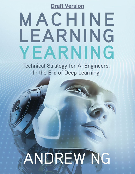**Draft Version** 

## MACHINE LEARNING YEARNING

**Technical Strategy for AI Engineers,** In the Era of Deep Learning

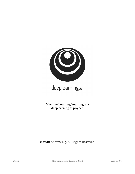

## deeplearning.ai

Machine Learning Yearning is a deeplearning.ai project.

© 2018 Andrew Ng. All Rights Reserved.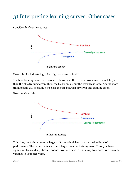## 31 Interpreting learning curves: Other cases

Consider this learning curve:



Does this plot indicate high bias, high variance, or both?

The blue training error curve is relatively low, and the red dev error curve is much higher than the blue training error. Thus, the bias is small, but the variance is large. Adding more training data will probably help close the gap between dev error and training error.

Now, consider this:



This time, the training error is large, as it is much higher than the desired level of performance. The dev error is also much larger than the training error. Thus, you have significant bias and significant variance. You will have to find a way to reduce both bias and variance in your algorithm.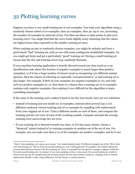## 32 Plotting learning curves

Suppose you have a very small training set of 100 examples. You train your algorithm using a randomly chosen subset of 10 examples, then 20 examples, then 30, up to 100, increasing the number of examples by intervals of ten. You then use these 10 data points to plot your learning curve. You might find that the curve looks slightly noisy (meaning that the values are higher/lower than expected) at the smaller training set sizes.

When training on just 10 randomly chosen examples, you might be unlucky and have a particularly "bad" training set, such as one with many ambiguous/mislabeled examples. Or, you might get lucky and get a particularly "good" training set. Having a small training set means that the dev and training errors may randomly fluctuate.

If your machine learning application is heavily skewed toward one class (such as a cat classification task where the fraction of negative examples is much larger than positive examples), or if it has a huge number of classes (such as recognizing 100 different animal species), then the chance of selecting an especially "unrepresentative" or bad training set is also larger. For example, if 80% of your examples are negative examples (y=0), and only 20% are positive examples  $(y=1)$ , then there is a chance that a training set of 10 examples contains only negative examples, thus making it very difficult for the algorithm to learn something meaningful.

If the noise in the training curve makes it hard to see the true trends, here are two solutions:

- Instead of training just one model on 10 examples, instead select several (say 3-10) different randomly chosen training sets of 10 examples by sampling with replacement*<sup>1</sup>* from your original set of 100. Train a different model on each of these, and compute the training and dev set error of each of the resulting models. Compute and plot the average training error and average dev set error.
- If your training set is skewed towards one class, or if it has many classes, choose a "balanced" subset instead of 10 training examples at random out of the set of 100. For example, you can make sure that 2/10 of the examples are positive examples, and 8/10 are

<sup>1</sup> Here's what sampling *with replacement* means: You would randomly pick 10 different examples out of the 100 to form your first training set. Then to form the second training set, you would again pick 10 examples, but without taking into account what had been chosen in the first training set. Thus, it is possible for one specific example to appear in both the first and second training sets. In contrast, if you were sampling *without replacement*, the second training set would be chosen from just the 90 examples that had not been chosen the first time around. In practice, sampling with or without replacement shouldn't make a huge difference, but the former is common practice.